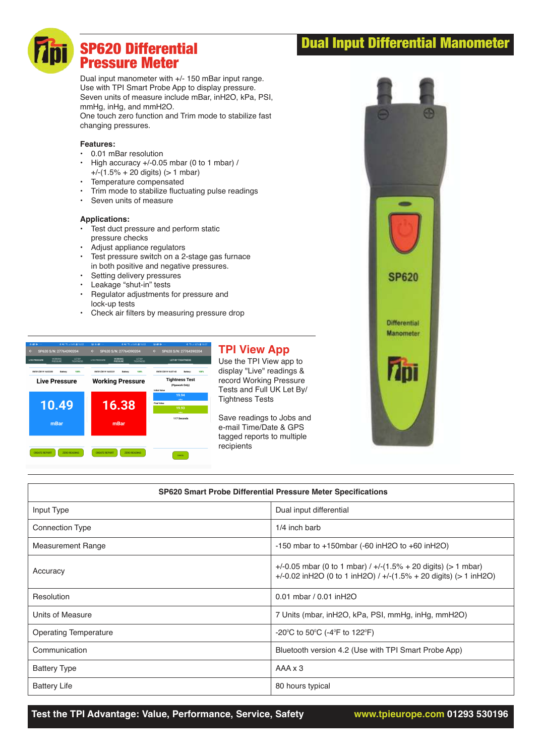## Dual Input Differential Manometer

# SP620 Differential Pressure Meter

Dual input manometer with +/- 150 mBar input range. Use with TPI Smart Probe App to display pressure. Seven units of measure include mBar, inH2O, kPa, PSI, mmHg, inHg, and mmH2O.

One touch zero function and Trim mode to stabilize fast changing pressures.

### **Features:**

- 0.01 mBar resolution
- High accuracy +/-0.05 mbar (0 to 1 mbar) /  $+/-(1.5% + 20$  digits) ( $> 1$  mbar)
- Temperature compensated
- Trim mode to stabilize fluctuating pulse readings
- Seven units of measure

#### **Applications:**

- Test duct pressure and perform static pressure checks
- Adjust appliance regulators
- Test pressure switch on a 2-stage gas furnace in both positive and negative pressures.
- Setting delivery pressures
- Leakage "shut-in" tests<br>• Requision adjustments
- Regulator adjustments for pressure and lock-up tests
- Check air filters by measuring pressure drop



### **TPI View App**

Use the TPI View app to display "Live" readings & record Working Pressure Tests and Full UK Let By/ Tightness Tests

Save readings to Jobs and e-mail Time/Date & GPS tagged reports to multiple recipients



| <b>SP620 Smart Probe Differential Pressure Meter Specifications</b> |                                                                                                                                           |
|---------------------------------------------------------------------|-------------------------------------------------------------------------------------------------------------------------------------------|
| Input Type                                                          | Dual input differential                                                                                                                   |
| <b>Connection Type</b>                                              | 1/4 inch barb                                                                                                                             |
| <b>Measurement Range</b>                                            | $-150$ mbar to $+150$ mbar ( $-60$ in H2O to $+60$ in H2O)                                                                                |
| Accuracy                                                            | $+/-0.05$ mbar (0 to 1 mbar) $/ +/-(1.5\% + 20$ digits) (> 1 mbar)<br>+/-0.02 in H2O (0 to 1 in H2O) / +/-(1.5% + 20 digits) (> 1 in H2O) |
| Resolution                                                          | 0.01 mbar / 0.01 in H2O                                                                                                                   |
| Units of Measure                                                    | 7 Units (mbar, inH2O, kPa, PSI, mmHg, inHg, mmH2O)                                                                                        |
| <b>Operating Temperature</b>                                        | -20°C to 50°C (-4°F to 122°F)                                                                                                             |
| Communication                                                       | Bluetooth version 4.2 (Use with TPI Smart Probe App)                                                                                      |
| <b>Battery Type</b>                                                 | AAA x 3                                                                                                                                   |
| <b>Battery Life</b>                                                 | 80 hours typical                                                                                                                          |